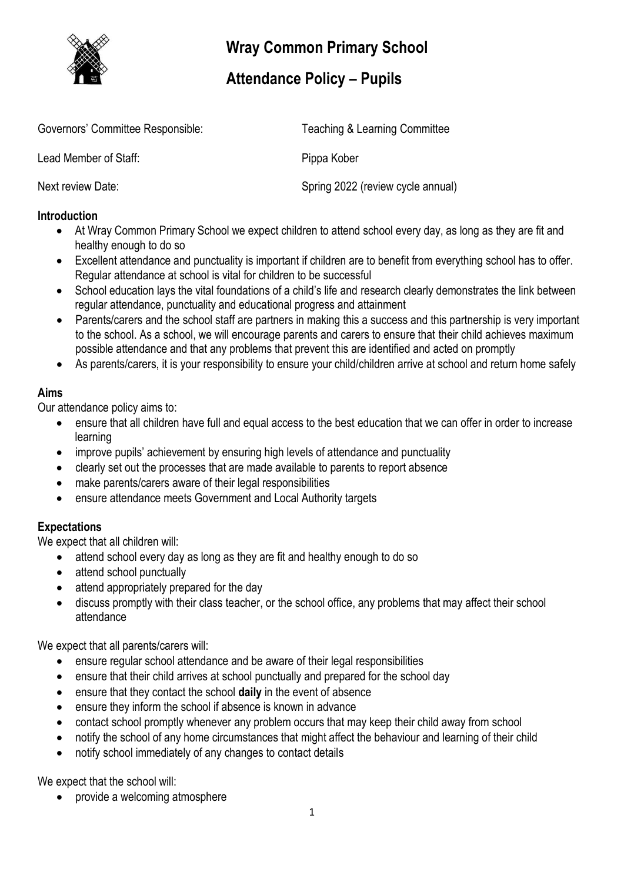

# **Wray Common Primary School**

## **Attendance Policy – Pupils**

| Governors' Committee Responsible: | Teaching & Learning Committee     |
|-----------------------------------|-----------------------------------|
| Lead Member of Staff:             | Pippa Kober                       |
| Next review Date:                 | Spring 2022 (review cycle annual) |

#### **Introduction**

- At Wray Common Primary School we expect children to attend school every day, as long as they are fit and healthy enough to do so
- Excellent attendance and punctuality is important if children are to benefit from everything school has to offer. Regular attendance at school is vital for children to be successful
- School education lays the vital foundations of a child's life and research clearly demonstrates the link between regular attendance, punctuality and educational progress and attainment
- Parents/carers and the school staff are partners in making this a success and this partnership is very important to the school. As a school, we will encourage parents and carers to ensure that their child achieves maximum possible attendance and that any problems that prevent this are identified and acted on promptly
- As parents/carers, it is your responsibility to ensure your child/children arrive at school and return home safely

#### **Aims**

Our attendance policy aims to:

- ensure that all children have full and equal access to the best education that we can offer in order to increase learning
- improve pupils' achievement by ensuring high levels of attendance and punctuality
- clearly set out the processes that are made available to parents to report absence
- make parents/carers aware of their legal responsibilities
- ensure attendance meets Government and Local Authority targets

#### **Expectations**

We expect that all children will:

- attend school every day as long as they are fit and healthy enough to do so
- attend school punctually
- attend appropriately prepared for the day
- discuss promptly with their class teacher, or the school office, any problems that may affect their school attendance

We expect that all parents/carers will:

- ensure regular school attendance and be aware of their legal responsibilities
- ensure that their child arrives at school punctually and prepared for the school day
- ensure that they contact the school **daily** in the event of absence
- ensure they inform the school if absence is known in advance
- contact school promptly whenever any problem occurs that may keep their child away from school
- notify the school of any home circumstances that might affect the behaviour and learning of their child
- notify school immediately of any changes to contact details

We expect that the school will:

• provide a welcoming atmosphere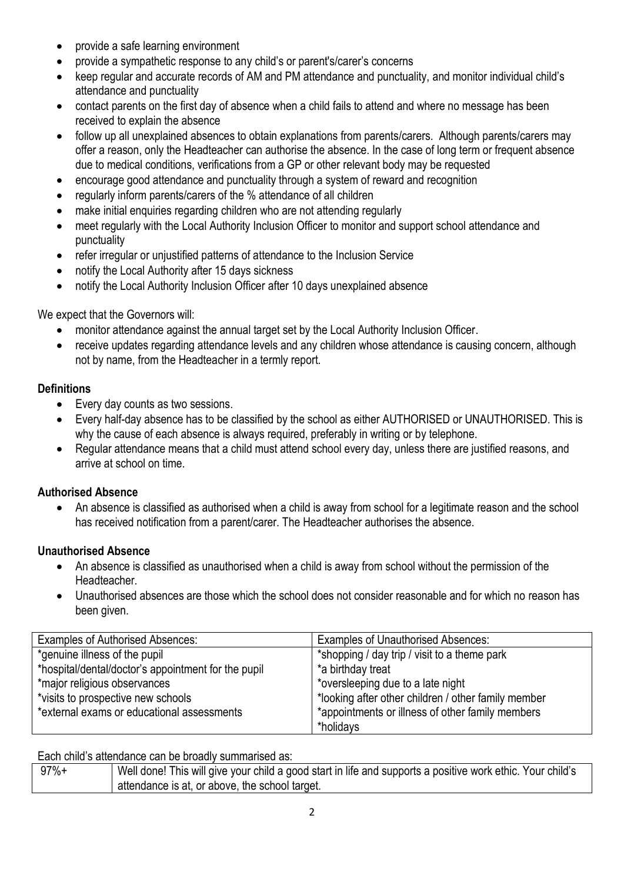- provide a safe learning environment
- provide a sympathetic response to any child's or parent's/carer's concerns
- keep regular and accurate records of AM and PM attendance and punctuality, and monitor individual child's attendance and punctuality
- contact parents on the first day of absence when a child fails to attend and where no message has been received to explain the absence
- follow up all unexplained absences to obtain explanations from parents/carers. Although parents/carers may offer a reason, only the Headteacher can authorise the absence. In the case of long term or frequent absence due to medical conditions, verifications from a GP or other relevant body may be requested
- encourage good attendance and punctuality through a system of reward and recognition
- regularly inform parents/carers of the % attendance of all children
- make initial enquiries regarding children who are not attending regularly
- meet regularly with the Local Authority Inclusion Officer to monitor and support school attendance and punctuality
- refer irregular or unjustified patterns of attendance to the Inclusion Service
- notify the Local Authority after 15 days sickness
- notify the Local Authority Inclusion Officer after 10 days unexplained absence

#### We expect that the Governors will:

- monitor attendance against the annual target set by the Local Authority Inclusion Officer.
- receive updates regarding attendance levels and any children whose attendance is causing concern, although not by name, from the Headteacher in a termly report.

#### **Definitions**

- Every day counts as two sessions.
- Every half-day absence has to be classified by the school as either AUTHORISED or UNAUTHORISED. This is why the cause of each absence is always required, preferably in writing or by telephone.
- Regular attendance means that a child must attend school every day, unless there are justified reasons, and arrive at school on time.

#### **Authorised Absence**

 An absence is classified as authorised when a child is away from school for a legitimate reason and the school has received notification from a parent/carer. The Headteacher authorises the absence.

#### **Unauthorised Absence**

- An absence is classified as unauthorised when a child is away from school without the permission of the Headteacher.
- Unauthorised absences are those which the school does not consider reasonable and for which no reason has been given.

| <b>Examples of Authorised Absences:</b>             | <b>Examples of Unauthorised Absences:</b>           |
|-----------------------------------------------------|-----------------------------------------------------|
| *genuine illness of the pupil                       | *shopping / day trip / visit to a theme park        |
| *hospital/dental/doctor's appointment for the pupil | *a birthday treat                                   |
| *major religious observances                        | *oversleeping due to a late night                   |
| *visits to prospective new schools                  | *looking after other children / other family member |
| *external exams or educational assessments          | *appointments or illness of other family members    |
|                                                     | *holidays                                           |

Each child's attendance can be broadly summarised as:

| $97%+$ | Well done! This will give your child a good start in life and supports a positive work ethic. Your child's |
|--------|------------------------------------------------------------------------------------------------------------|
|        | attendance is at, or above, the school target.                                                             |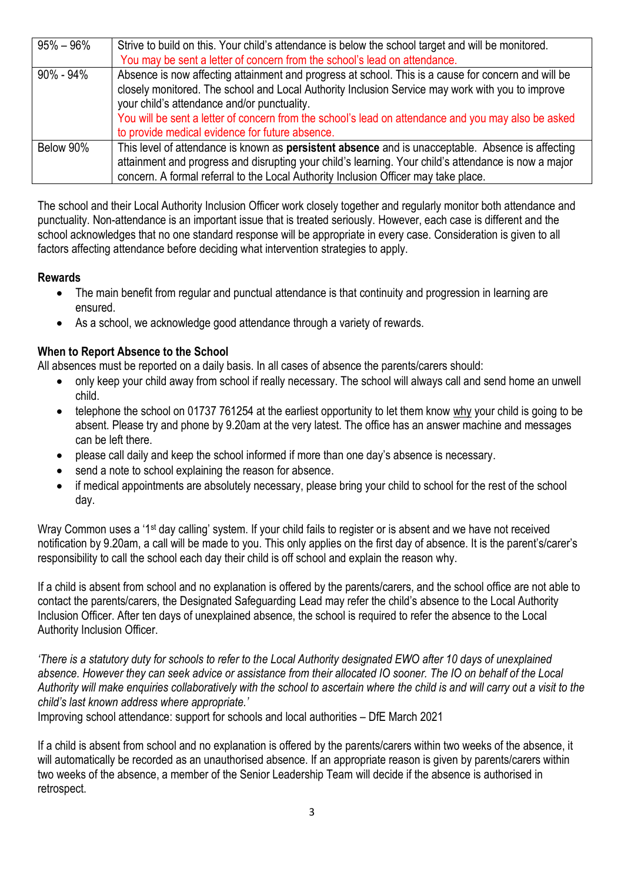| $95\% - 96\%$ | Strive to build on this. Your child's attendance is below the school target and will be monitored.       |
|---------------|----------------------------------------------------------------------------------------------------------|
|               | You may be sent a letter of concern from the school's lead on attendance.                                |
| 90% - 94%     | Absence is now affecting attainment and progress at school. This is a cause for concern and will be      |
|               | closely monitored. The school and Local Authority Inclusion Service may work with you to improve         |
|               | your child's attendance and/or punctuality.                                                              |
|               | You will be sent a letter of concern from the school's lead on attendance and you may also be asked      |
|               | to provide medical evidence for future absence.                                                          |
| Below 90%     | This level of attendance is known as <b>persistent absence</b> and is unacceptable. Absence is affecting |
|               | attainment and progress and disrupting your child's learning. Your child's attendance is now a major     |
|               | concern. A formal referral to the Local Authority Inclusion Officer may take place.                      |

The school and their Local Authority Inclusion Officer work closely together and regularly monitor both attendance and punctuality. Non-attendance is an important issue that is treated seriously. However, each case is different and the school acknowledges that no one standard response will be appropriate in every case. Consideration is given to all factors affecting attendance before deciding what intervention strategies to apply.

#### **Rewards**

- The main benefit from regular and punctual attendance is that continuity and progression in learning are ensured.
- As a school, we acknowledge good attendance through a variety of rewards.

#### **When to Report Absence to the School**

All absences must be reported on a daily basis. In all cases of absence the parents/carers should:

- only keep your child away from school if really necessary. The school will always call and send home an unwell child.
- telephone the school on 01737 761254 at the earliest opportunity to let them know why your child is going to be absent. Please try and phone by 9.20am at the very latest. The office has an answer machine and messages can be left there.
- please call daily and keep the school informed if more than one day's absence is necessary.
- send a note to school explaining the reason for absence.
- if medical appointments are absolutely necessary, please bring your child to school for the rest of the school day.

Wray Common uses a '1st day calling' system. If your child fails to register or is absent and we have not received notification by 9.20am, a call will be made to you. This only applies on the first day of absence. It is the parent's/carer's responsibility to call the school each day their child is off school and explain the reason why.

If a child is absent from school and no explanation is offered by the parents/carers, and the school office are not able to contact the parents/carers, the Designated Safeguarding Lead may refer the child's absence to the Local Authority Inclusion Officer. After ten days of unexplained absence, the school is required to refer the absence to the Local Authority Inclusion Officer.

*'There is a statutory duty for schools to refer to the Local Authority designated EWO after 10 days of unexplained absence. However they can seek advice or assistance from their allocated IO sooner. The IO on behalf of the Local Authority will make enquiries collaboratively with the school to ascertain where the child is and will carry out a visit to the child's last known address where appropriate.'*

Improving school attendance: support for schools and local authorities – DfE March 2021

If a child is absent from school and no explanation is offered by the parents/carers within two weeks of the absence, it will automatically be recorded as an unauthorised absence. If an appropriate reason is given by parents/carers within two weeks of the absence, a member of the Senior Leadership Team will decide if the absence is authorised in retrospect.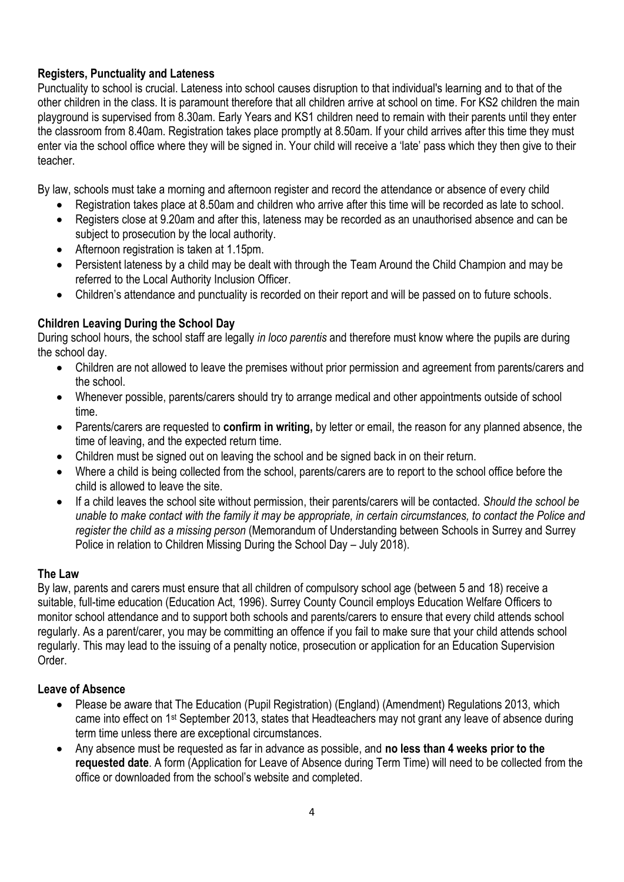#### **Registers, Punctuality and Lateness**

Punctuality to school is crucial. Lateness into school causes disruption to that individual's learning and to that of the other children in the class. It is paramount therefore that all children arrive at school on time. For KS2 children the main playground is supervised from 8.30am. Early Years and KS1 children need to remain with their parents until they enter the classroom from 8.40am. Registration takes place promptly at 8.50am. If your child arrives after this time they must enter via the school office where they will be signed in. Your child will receive a 'late' pass which they then give to their teacher.

By law, schools must take a morning and afternoon register and record the attendance or absence of every child

- Registration takes place at 8.50am and children who arrive after this time will be recorded as late to school.
- Registers close at 9.20am and after this, lateness may be recorded as an unauthorised absence and can be subject to prosecution by the local authority.
- Afternoon registration is taken at 1.15pm.
- Persistent lateness by a child may be dealt with through the Team Around the Child Champion and may be referred to the Local Authority Inclusion Officer.
- Children's attendance and punctuality is recorded on their report and will be passed on to future schools.

#### **Children Leaving During the School Day**

During school hours, the school staff are legally *in loco parentis* and therefore must know where the pupils are during the school day.

- Children are not allowed to leave the premises without prior permission and agreement from parents/carers and the school.
- Whenever possible, parents/carers should try to arrange medical and other appointments outside of school time.
- Parents/carers are requested to **confirm in writing,** by letter or email, the reason for any planned absence, the time of leaving, and the expected return time.
- Children must be signed out on leaving the school and be signed back in on their return.
- Where a child is being collected from the school, parents/carers are to report to the school office before the child is allowed to leave the site.
- If a child leaves the school site without permission, their parents/carers will be contacted. *Should the school be unable to make contact with the family it may be appropriate, in certain circumstances, to contact the Police and register the child as a missing person* (Memorandum of Understanding between Schools in Surrey and Surrey Police in relation to Children Missing During the School Day – July 2018).

#### **The Law**

By law, parents and carers must ensure that all children of compulsory school age (between 5 and 18) receive a suitable, full-time education (Education Act, 1996). Surrey County Council employs Education Welfare Officers to monitor school attendance and to support both schools and parents/carers to ensure that every child attends school regularly. As a parent/carer, you may be committing an offence if you fail to make sure that your child attends school regularly. This may lead to the issuing of a penalty notice, prosecution or application for an Education Supervision Order.

#### **Leave of Absence**

- Please be aware that The Education (Pupil Registration) (England) (Amendment) Regulations 2013, which came into effect on 1st September 2013, states that Headteachers may not grant any leave of absence during term time unless there are exceptional circumstances.
- Any absence must be requested as far in advance as possible, and **no less than 4 weeks prior to the requested date**. A form (Application for Leave of Absence during Term Time) will need to be collected from the office or downloaded from the school's website and completed.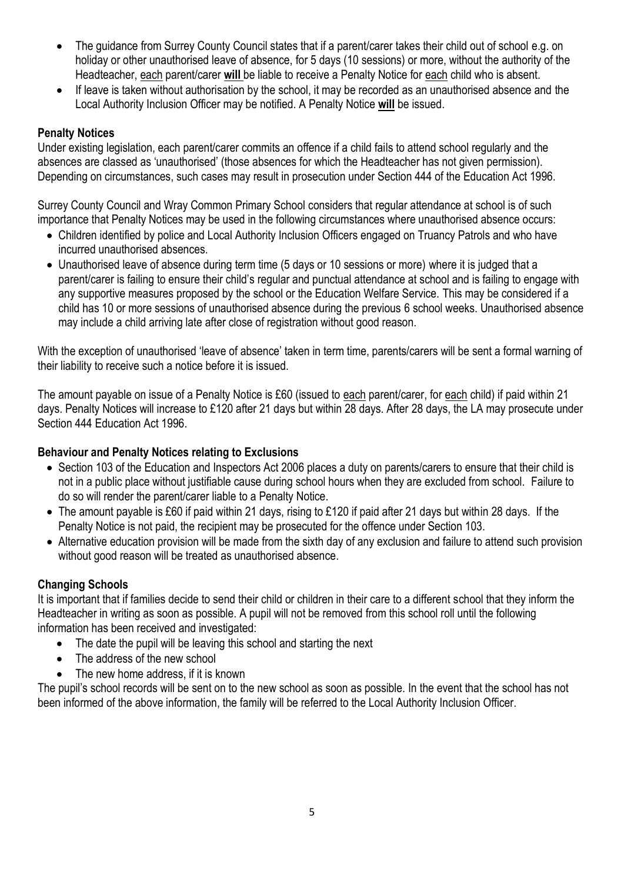- The guidance from Surrey County Council states that if a parent/carer takes their child out of school e.g. on holiday or other unauthorised leave of absence, for 5 days (10 sessions) or more, without the authority of the Headteacher, each parent/carer **will** be liable to receive a Penalty Notice for each child who is absent.
- If leave is taken without authorisation by the school, it may be recorded as an unauthorised absence and the Local Authority Inclusion Officer may be notified. A Penalty Notice **will** be issued.

#### **Penalty Notices**

Under existing legislation, each parent/carer commits an offence if a child fails to attend school regularly and the absences are classed as 'unauthorised' (those absences for which the Headteacher has not given permission). Depending on circumstances, such cases may result in prosecution under Section 444 of the Education Act 1996.

Surrey County Council and Wray Common Primary School considers that regular attendance at school is of such importance that Penalty Notices may be used in the following circumstances where unauthorised absence occurs:

- Children identified by police and Local Authority Inclusion Officers engaged on Truancy Patrols and who have incurred unauthorised absences.
- Unauthorised leave of absence during term time (5 days or 10 sessions or more) where it is judged that a parent/carer is failing to ensure their child's regular and punctual attendance at school and is failing to engage with any supportive measures proposed by the school or the Education Welfare Service. This may be considered if a child has 10 or more sessions of unauthorised absence during the previous 6 school weeks. Unauthorised absence may include a child arriving late after close of registration without good reason.

With the exception of unauthorised 'leave of absence' taken in term time, parents/carers will be sent a formal warning of their liability to receive such a notice before it is issued.

The amount payable on issue of a Penalty Notice is £60 (issued to each parent/carer, for each child) if paid within 21 days. Penalty Notices will increase to £120 after 21 days but within 28 days. After 28 days, the LA may prosecute under Section 444 Education Act 1996.

#### **Behaviour and Penalty Notices relating to Exclusions**

- Section 103 of the Education and Inspectors Act 2006 places a duty on parents/carers to ensure that their child is not in a public place without justifiable cause during school hours when they are excluded from school. Failure to do so will render the parent/carer liable to a Penalty Notice.
- The amount payable is £60 if paid within 21 days, rising to £120 if paid after 21 days but within 28 days. If the Penalty Notice is not paid, the recipient may be prosecuted for the offence under Section 103.
- Alternative education provision will be made from the sixth day of any exclusion and failure to attend such provision without good reason will be treated as unauthorised absence.

#### **Changing Schools**

It is important that if families decide to send their child or children in their care to a different school that they inform the Headteacher in writing as soon as possible. A pupil will not be removed from this school roll until the following information has been received and investigated:

- The date the pupil will be leaving this school and starting the next
- The address of the new school
- The new home address, if it is known

The pupil's school records will be sent on to the new school as soon as possible. In the event that the school has not been informed of the above information, the family will be referred to the Local Authority Inclusion Officer.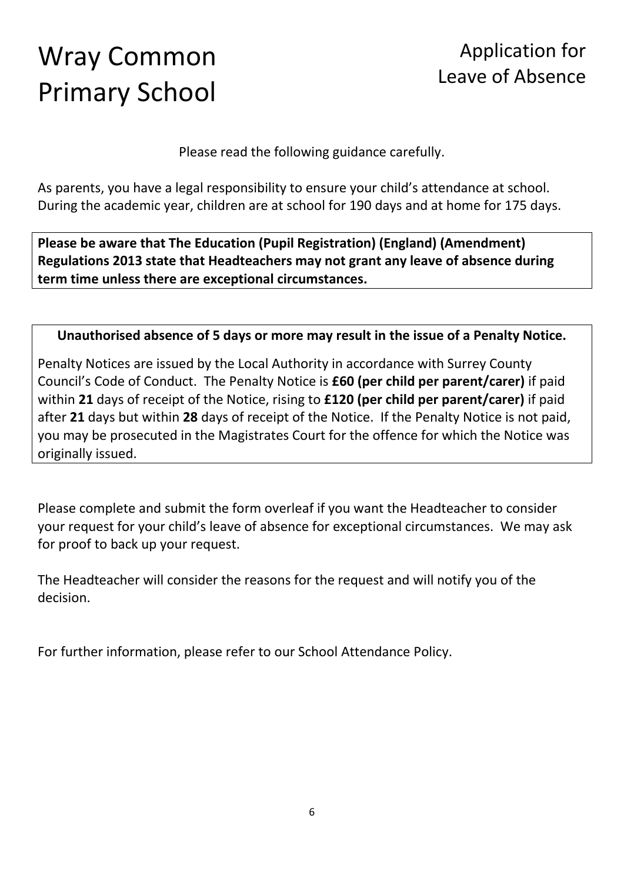# Wray Common Primary School

# Application for Leave of Absence

Please read the following guidance carefully.

As parents, you have a legal responsibility to ensure your child's attendance at school. During the academic year, children are at school for 190 days and at home for 175 days.

**Please be aware that The Education (Pupil Registration) (England) (Amendment) Regulations 2013 state that Headteachers may not grant any leave of absence during term time unless there are exceptional circumstances.** 

#### **Unauthorised absence of 5 days or more may result in the issue of a Penalty Notice.**

Penalty Notices are issued by the Local Authority in accordance with Surrey County Council's Code of Conduct. The Penalty Notice is **£60 (per child per parent/carer)** if paid within **21** days of receipt of the Notice, rising to **£120 (per child per parent/carer)** if paid after **21** days but within **28** days of receipt of the Notice. If the Penalty Notice is not paid, you may be prosecuted in the Magistrates Court for the offence for which the Notice was originally issued.

Please complete and submit the form overleaf if you want the Headteacher to consider your request for your child's leave of absence for exceptional circumstances. We may ask for proof to back up your request.

The Headteacher will consider the reasons for the request and will notify you of the decision.

For further information, please refer to our School Attendance Policy.